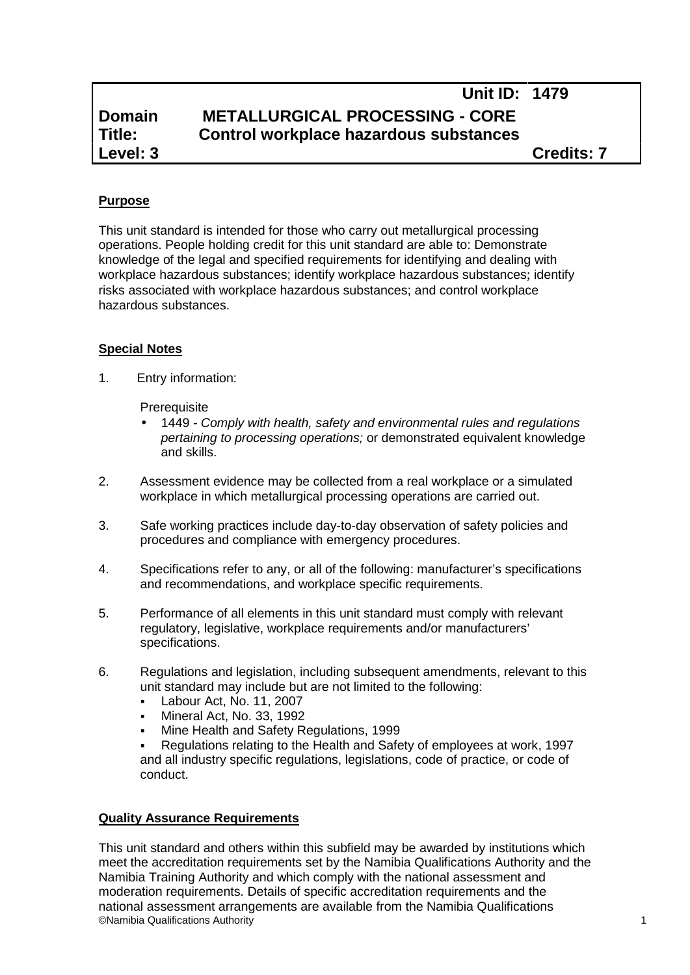## **Purpose**

This unit standard is intended for those who carry out metallurgical processing operations. People holding credit for this unit standard are able to: Demonstrate knowledge of the legal and specified requirements for identifying and dealing with workplace hazardous substances; identify workplace hazardous substances; identify risks associated with workplace hazardous substances; and control workplace hazardous substances.

## **Special Notes**

1. Entry information:

**Prerequisite** 

- 1449 *- Comply with health, safety and environmental rules and regulations pertaining to processing operations;* or demonstrated equivalent knowledge and skills.
- 2. Assessment evidence may be collected from a real workplace or a simulated workplace in which metallurgical processing operations are carried out.
- 3. Safe working practices include day-to-day observation of safety policies and procedures and compliance with emergency procedures.
- 4. Specifications refer to any, or all of the following: manufacturer's specifications and recommendations, and workplace specific requirements.
- 5. Performance of all elements in this unit standard must comply with relevant regulatory, legislative, workplace requirements and/or manufacturers' specifications.
- 6. Regulations and legislation, including subsequent amendments, relevant to this unit standard may include but are not limited to the following:
	- Labour Act, No. 11, 2007
	- Mineral Act, No. 33, 1992
	- Mine Health and Safety Regulations, 1999
	- Regulations relating to the Health and Safety of employees at work, 1997 and all industry specific regulations, legislations, code of practice, or code of conduct.

### **Quality Assurance Requirements**

©Namibia Qualifications Authority 1 This unit standard and others within this subfield may be awarded by institutions which meet the accreditation requirements set by the Namibia Qualifications Authority and the Namibia Training Authority and which comply with the national assessment and moderation requirements. Details of specific accreditation requirements and the national assessment arrangements are available from the Namibia Qualifications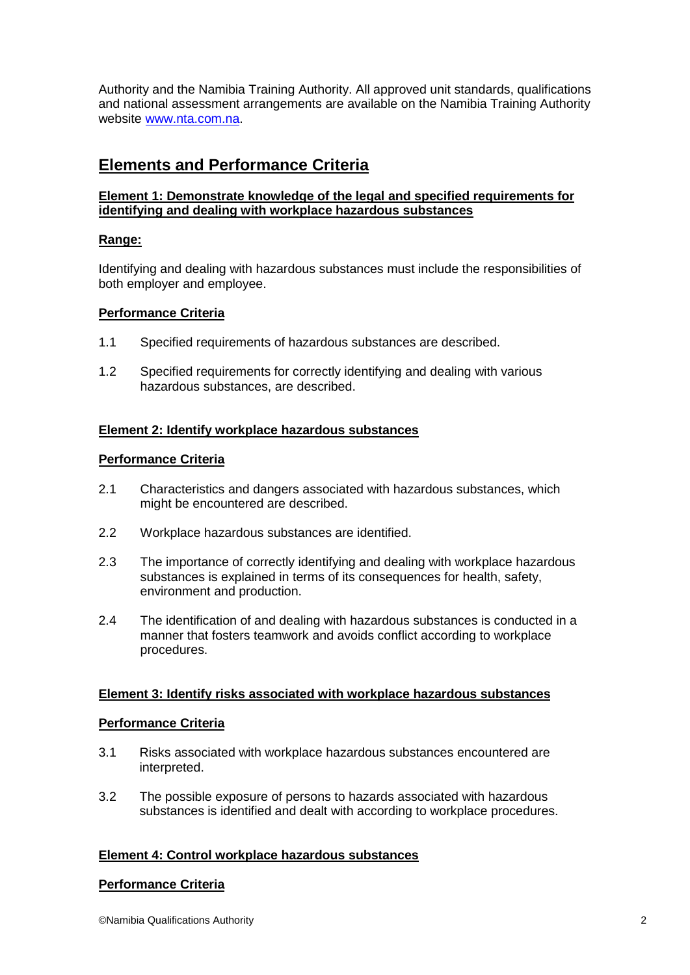Authority and the Namibia Training Authority. All approved unit standards, qualifications and national assessment arrangements are available on the Namibia Training Authority website www.nta.com.na.

# **Elements and Performance Criteria**

### **Element 1: Demonstrate knowledge of the legal and specified requirements for identifying and dealing with workplace hazardous substances**

### **Range:**

Identifying and dealing with hazardous substances must include the responsibilities of both employer and employee.

### **Performance Criteria**

- 1.1 Specified requirements of hazardous substances are described.
- 1.2 Specified requirements for correctly identifying and dealing with various hazardous substances, are described.

### **Element 2: Identify workplace hazardous substances**

#### **Performance Criteria**

- 2.1 Characteristics and dangers associated with hazardous substances, which might be encountered are described.
- 2.2 Workplace hazardous substances are identified.
- 2.3 The importance of correctly identifying and dealing with workplace hazardous substances is explained in terms of its consequences for health, safety, environment and production.
- 2.4 The identification of and dealing with hazardous substances is conducted in a manner that fosters teamwork and avoids conflict according to workplace procedures.

### **Element 3: Identify risks associated with workplace hazardous substances**

#### **Performance Criteria**

- 3.1 Risks associated with workplace hazardous substances encountered are interpreted.
- 3.2 The possible exposure of persons to hazards associated with hazardous substances is identified and dealt with according to workplace procedures.

#### **Element 4: Control workplace hazardous substances**

### **Performance Criteria**